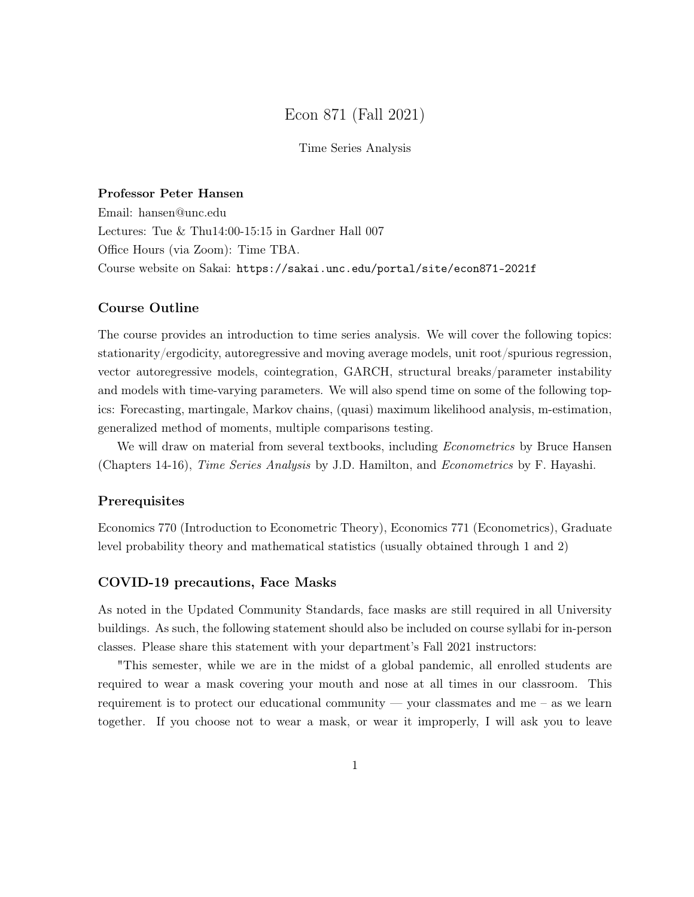# Econ 871 (Fall 2021)

## Time Series Analysis

## Professor Peter Hansen

Email: hansen@unc.edu Lectures: Tue & Thu14:00-15:15 in Gardner Hall 007 Office Hours (via Zoom): Time TBA. Course website on Sakai: https://sakai.unc.edu/portal/site/econ871-2021f

#### Course Outline

The course provides an introduction to time series analysis. We will cover the following topics: stationarity/ergodicity, autoregressive and moving average models, unit root/spurious regression, vector autoregressive models, cointegration, GARCH, structural breaks/parameter instability and models with time-varying parameters. We will also spend time on some of the following topics: Forecasting, martingale, Markov chains, (quasi) maximum likelihood analysis, m-estimation, generalized method of moments, multiple comparisons testing.

We will draw on material from several textbooks, including *Econometrics* by Bruce Hansen (Chapters 14-16), Time Series Analysis by J.D. Hamilton, and Econometrics by F. Hayashi.

#### Prerequisites

Economics 770 (Introduction to Econometric Theory), Economics 771 (Econometrics), Graduate level probability theory and mathematical statistics (usually obtained through 1 and 2)

## COVID-19 precautions, Face Masks

As noted in the Updated Community Standards, face masks are still required in all University buildings. As such, the following statement should also be included on course syllabi for in-person classes. Please share this statement with your department's Fall 2021 instructors:

"This semester, while we are in the midst of a global pandemic, all enrolled students are required to wear a mask covering your mouth and nose at all times in our classroom. This requirement is to protect our educational community — your classmates and me – as we learn together. If you choose not to wear a mask, or wear it improperly, I will ask you to leave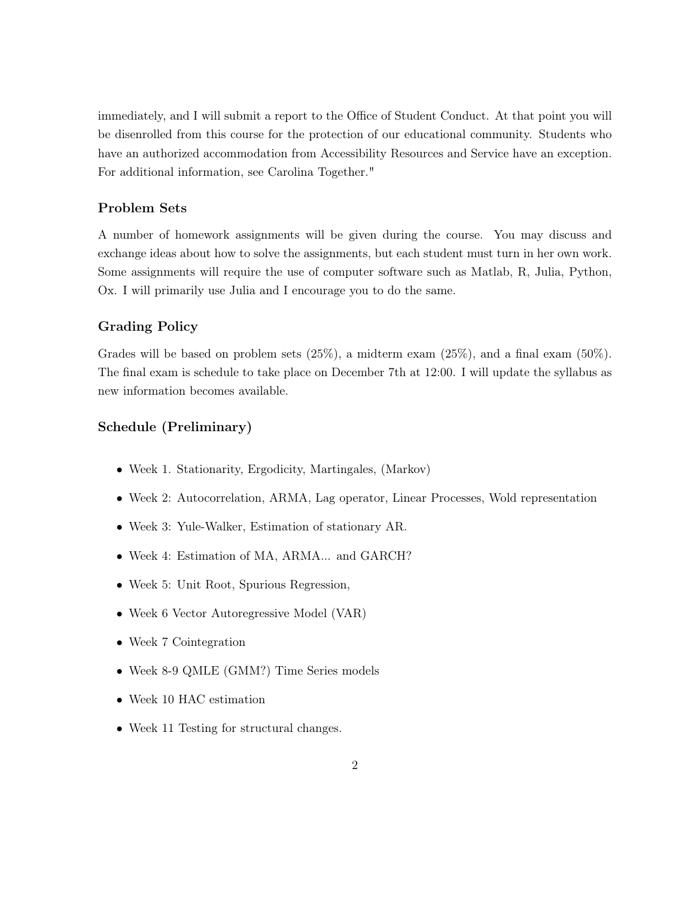immediately, and I will submit a report to the Office of Student Conduct. At that point you will be disenrolled from this course for the protection of our educational community. Students who have an authorized accommodation from Accessibility Resources and Service have an exception. For additional information, see Carolina Together."

## Problem Sets

A number of homework assignments will be given during the course. You may discuss and exchange ideas about how to solve the assignments, but each student must turn in her own work. Some assignments will require the use of computer software such as Matlab, R, Julia, Python, Ox. I will primarily use Julia and I encourage you to do the same.

## Grading Policy

Grades will be based on problem sets (25%), a midterm exam (25%), and a final exam (50%). The final exam is schedule to take place on December 7th at 12:00. I will update the syllabus as new information becomes available.

## Schedule (Preliminary)

- Week 1. Stationarity, Ergodicity, Martingales, (Markov)
- Week 2: Autocorrelation, ARMA, Lag operator, Linear Processes, Wold representation
- Week 3: Yule-Walker, Estimation of stationary AR.
- Week 4: Estimation of MA, ARMA... and GARCH?
- Week 5: Unit Root, Spurious Regression,
- Week 6 Vector Autoregressive Model (VAR)
- Week 7 Cointegration
- Week 8-9 QMLE (GMM?) Time Series models
- Week 10 HAC estimation
- Week 11 Testing for structural changes.